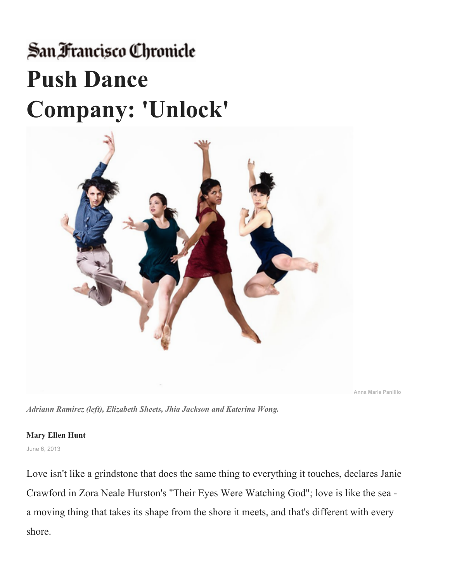## San Francisco Chronicle **Push Dance Company: 'Unlock'**



**Anna Marie Panlilio**

*Adriann Ramirez (left), Elizabeth Sheets, Jhia Jackson and Katerina Wong.*

## **Mary Ellen Hunt**

June 6, 2013

Love isn't like a grindstone that does the same thing to everything it touches, declares Janie Crawford in Zora Neale Hurston's "Their Eyes Were Watching God"; love is like the sea a moving thing that takes its shape from the shore it meets, and that's different with every shore.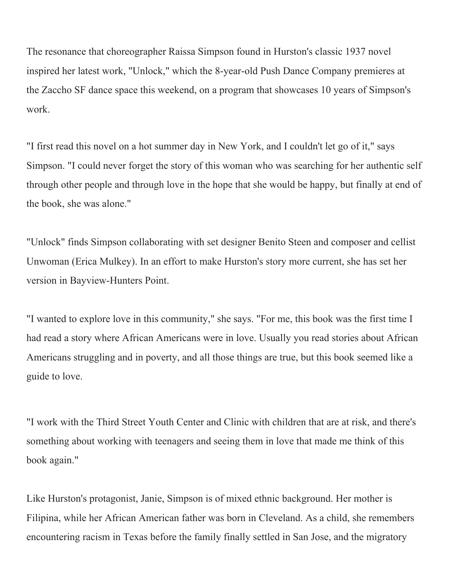The resonance that choreographer Raissa Simpson found in Hurston's classic 1937 novel inspired her latest work, "Unlock," which the 8-year-old Push Dance Company premieres at the Zaccho SF dance space this weekend, on a program that showcases 10 years of Simpson's work.

"I first read this novel on a hot summer day in New York, and I couldn't let go of it," says Simpson. "I could never forget the story of this woman who was searching for her authentic self through other people and through love in the hope that she would be happy, but finally at end of the book, she was alone."

"Unlock" finds Simpson collaborating with set designer Benito Steen and composer and cellist Unwoman (Erica Mulkey). In an effort to make Hurston's story more current, she has set her version in Bayview-Hunters Point.

"I wanted to explore love in this community," she says. "For me, this book was the first time I had read a story where African Americans were in love. Usually you read stories about African Americans struggling and in poverty, and all those things are true, but this book seemed like a guide to love.

"I work with the Third Street Youth Center and Clinic with children that are at risk, and there's something about working with teenagers and seeing them in love that made me think of this book again."

Like Hurston's protagonist, Janie, Simpson is of mixed ethnic background. Her mother is Filipina, while her African American father was born in Cleveland. As a child, she remembers encountering racism in Texas before the family finally settled in San Jose, and the migratory